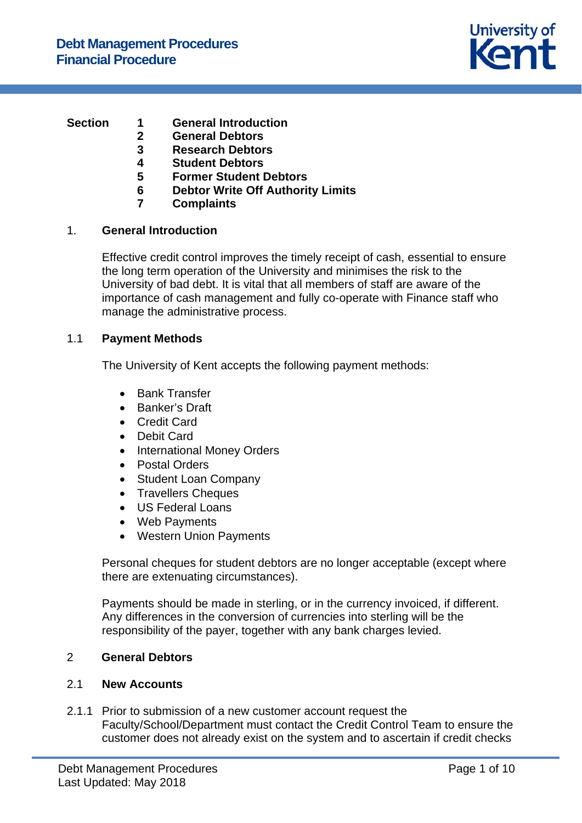

# **Section 1 General Introduction**

- **2 General Debtors**
- **3 Research Debtors**
- **4 Student Debtors**
- **5 Former Student Debtors**
- **6 Debtor Write Off Authority Limits**
- **7 Complaints**

# 1. **General Introduction**

Effective credit control improves the timely receipt of cash, essential to ensure the long term operation of the University and minimises the risk to the University of bad debt. It is vital that all members of staff are aware of the importance of cash management and fully co-operate with Finance staff who manage the administrative process.

# 1.1 **Payment Methods**

The University of Kent accepts the following payment methods:

- Bank Transfer
- Banker's Draft
- Credit Card
- Debit Card
- International Money Orders
- Postal Orders
- Student Loan Company
- Travellers Cheques
- US Federal Loans
- Web Payments
- Western Union Payments

Personal cheques for student debtors are no longer acceptable (except where there are extenuating circumstances).

Payments should be made in sterling, or in the currency invoiced, if different. Any differences in the conversion of currencies into sterling will be the responsibility of the payer, together with any bank charges levied.

# 2 **General Debtors**

# 2.1 **New Accounts**

2.1.1 Prior to submission of a new customer account request the Faculty/School/Department must contact the Credit Control Team to ensure the customer does not already exist on the system and to ascertain if credit checks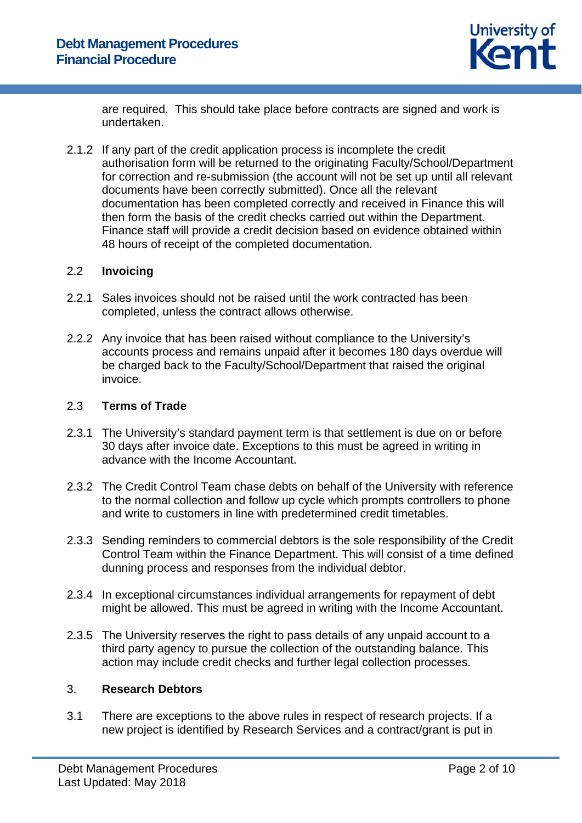

are required. This should take place before contracts are signed and work is undertaken.

2.1.2 If any part of the credit application process is incomplete the credit authorisation form will be returned to the originating Faculty/School/Department for correction and re-submission (the account will not be set up until all relevant documents have been correctly submitted). Once all the relevant documentation has been completed correctly and received in Finance this will then form the basis of the credit checks carried out within the Department. Finance staff will provide a credit decision based on evidence obtained within 48 hours of receipt of the completed documentation.

## 2.2 **Invoicing**

- 2.2.1 Sales invoices should not be raised until the work contracted has been completed, unless the contract allows otherwise.
- 2.2.2 Any invoice that has been raised without compliance to the University's accounts process and remains unpaid after it becomes 180 days overdue will be charged back to the Faculty/School/Department that raised the original invoice.

# 2.3 **Terms of Trade**

- 2.3.1 The University's standard payment term is that settlement is due on or before 30 days after invoice date. Exceptions to this must be agreed in writing in advance with the Income Accountant.
- 2.3.2 The Credit Control Team chase debts on behalf of the University with reference to the normal collection and follow up cycle which prompts controllers to phone and write to customers in line with predetermined credit timetables.
- 2.3.3 Sending reminders to commercial debtors is the sole responsibility of the Credit Control Team within the Finance Department. This will consist of a time defined dunning process and responses from the individual debtor.
- 2.3.4 In exceptional circumstances individual arrangements for repayment of debt might be allowed. This must be agreed in writing with the Income Accountant.
- 2.3.5 The University reserves the right to pass details of any unpaid account to a third party agency to pursue the collection of the outstanding balance. This action may include credit checks and further legal collection processes.

## 3. **Research Debtors**

3.1 There are exceptions to the above rules in respect of research projects. If a new project is identified by Research Services and a contract/grant is put in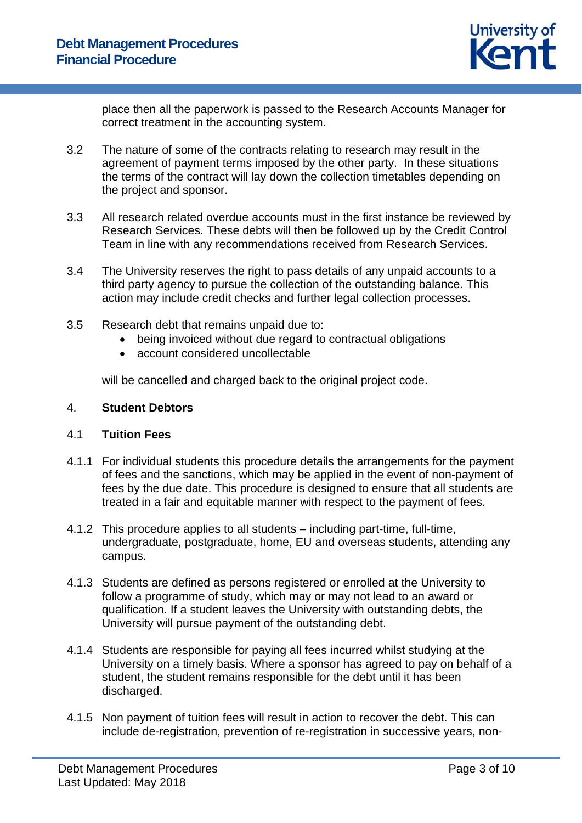

place then all the paperwork is passed to the Research Accounts Manager for correct treatment in the accounting system.

- 3.2 The nature of some of the contracts relating to research may result in the agreement of payment terms imposed by the other party. In these situations the terms of the contract will lay down the collection timetables depending on the project and sponsor.
- 3.3 All research related overdue accounts must in the first instance be reviewed by Research Services. These debts will then be followed up by the Credit Control Team in line with any recommendations received from Research Services.
- 3.4 The University reserves the right to pass details of any unpaid accounts to a third party agency to pursue the collection of the outstanding balance. This action may include credit checks and further legal collection processes.
- 3.5 Research debt that remains unpaid due to:
	- being invoiced without due regard to contractual obligations
	- account considered uncollectable

will be cancelled and charged back to the original project code.

### 4. **Student Debtors**

### 4.1 **Tuition Fees**

- 4.1.1 For individual students this procedure details the arrangements for the payment of fees and the sanctions, which may be applied in the event of non-payment of fees by the due date. This procedure is designed to ensure that all students are treated in a fair and equitable manner with respect to the payment of fees.
- 4.1.2 This procedure applies to all students including part-time, full-time, undergraduate, postgraduate, home, EU and overseas students, attending any campus.
- 4.1.3 Students are defined as persons registered or enrolled at the University to follow a programme of study, which may or may not lead to an award or qualification. If a student leaves the University with outstanding debts, the University will pursue payment of the outstanding debt.
- 4.1.4 Students are responsible for paying all fees incurred whilst studying at the University on a timely basis. Where a sponsor has agreed to pay on behalf of a student, the student remains responsible for the debt until it has been discharged.
- 4.1.5 Non payment of tuition fees will result in action to recover the debt. This can include de-registration, prevention of re-registration in successive years, non-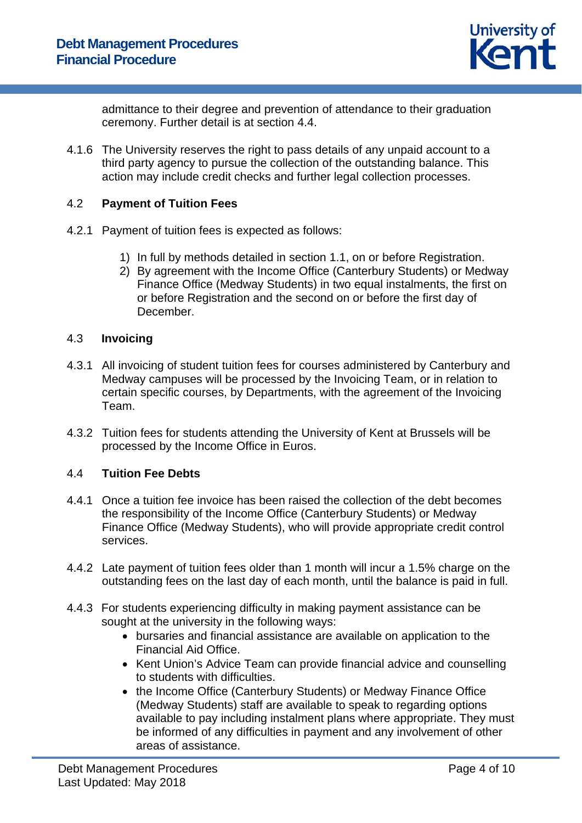

admittance to their degree and prevention of attendance to their graduation ceremony. Further detail is at section 4.4.

4.1.6 The University reserves the right to pass details of any unpaid account to a third party agency to pursue the collection of the outstanding balance. This action may include credit checks and further legal collection processes.

# 4.2 **Payment of Tuition Fees**

- 4.2.1 Payment of tuition fees is expected as follows:
	- 1) In full by methods detailed in section 1.1, on or before Registration.
	- 2) By agreement with the Income Office (Canterbury Students) or Medway Finance Office (Medway Students) in two equal instalments, the first on or before Registration and the second on or before the first day of December.

## 4.3 **Invoicing**

- 4.3.1 All invoicing of student tuition fees for courses administered by Canterbury and Medway campuses will be processed by the Invoicing Team, or in relation to certain specific courses, by Departments, with the agreement of the Invoicing Team.
- 4.3.2 Tuition fees for students attending the University of Kent at Brussels will be processed by the Income Office in Euros.

### 4.4 **Tuition Fee Debts**

- 4.4.1 Once a tuition fee invoice has been raised the collection of the debt becomes the responsibility of the Income Office (Canterbury Students) or Medway Finance Office (Medway Students), who will provide appropriate credit control services.
- 4.4.2 Late payment of tuition fees older than 1 month will incur a 1.5% charge on the outstanding fees on the last day of each month, until the balance is paid in full.
- 4.4.3 For students experiencing difficulty in making payment assistance can be sought at the university in the following ways:
	- bursaries and financial assistance are available on application to the Financial Aid Office.
	- Kent Union's Advice Team can provide financial advice and counselling to students with difficulties.
	- the Income Office (Canterbury Students) or Medway Finance Office (Medway Students) staff are available to speak to regarding options available to pay including instalment plans where appropriate. They must be informed of any difficulties in payment and any involvement of other areas of assistance.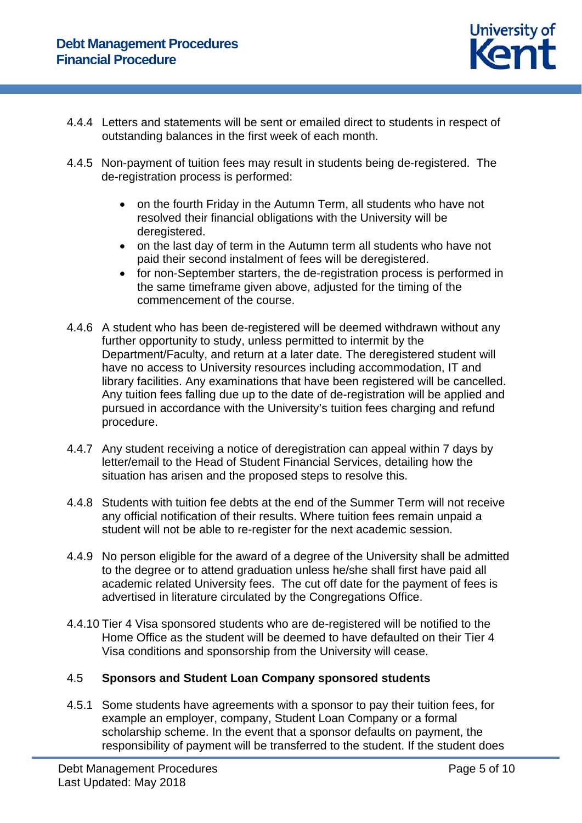

- 4.4.4 Letters and statements will be sent or emailed direct to students in respect of outstanding balances in the first week of each month.
- 4.4.5 Non-payment of tuition fees may result in students being de-registered. The de-registration process is performed:
	- on the fourth Friday in the Autumn Term, all students who have not resolved their financial obligations with the University will be deregistered.
	- on the last day of term in the Autumn term all students who have not paid their second instalment of fees will be deregistered.
	- for non-September starters, the de-registration process is performed in the same timeframe given above, adjusted for the timing of the commencement of the course.
- 4.4.6 A student who has been de-registered will be deemed withdrawn without any further opportunity to study, unless permitted to intermit by the Department/Faculty, and return at a later date. The deregistered student will have no access to University resources including accommodation, IT and library facilities. Any examinations that have been registered will be cancelled. Any tuition fees falling due up to the date of de-registration will be applied and pursued in accordance with the University's tuition fees charging and refund procedure.
- 4.4.7 Any student receiving a notice of deregistration can appeal within 7 days by letter/email to the Head of Student Financial Services, detailing how the situation has arisen and the proposed steps to resolve this.
- 4.4.8 Students with tuition fee debts at the end of the Summer Term will not receive any official notification of their results. Where tuition fees remain unpaid a student will not be able to re-register for the next academic session.
- 4.4.9 No person eligible for the award of a degree of the University shall be admitted to the degree or to attend graduation unless he/she shall first have paid all academic related University fees. The cut off date for the payment of fees is advertised in literature circulated by the Congregations Office.
- 4.4.10 Tier 4 Visa sponsored students who are de-registered will be notified to the Home Office as the student will be deemed to have defaulted on their Tier 4 Visa conditions and sponsorship from the University will cease.

# 4.5 **Sponsors and Student Loan Company sponsored students**

4.5.1 Some students have agreements with a sponsor to pay their tuition fees, for example an employer, company, Student Loan Company or a formal scholarship scheme. In the event that a sponsor defaults on payment, the responsibility of payment will be transferred to the student. If the student does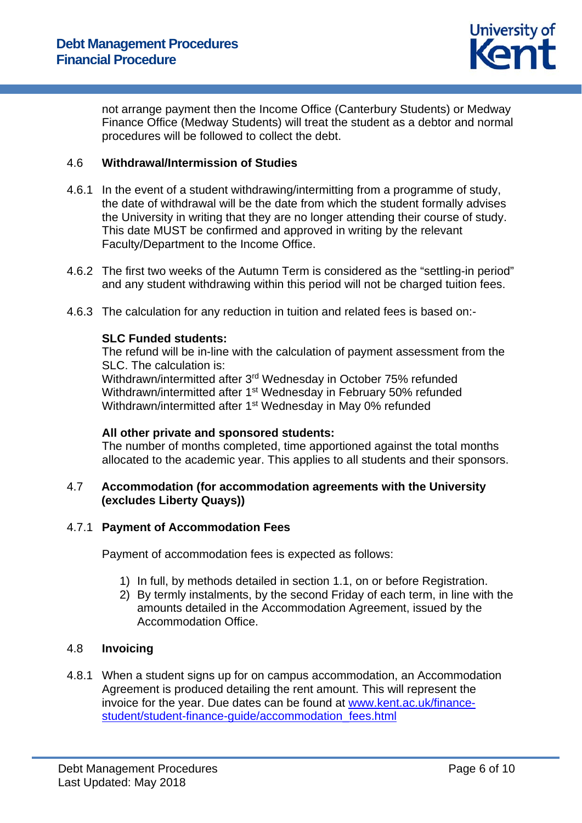

not arrange payment then the Income Office (Canterbury Students) or Medway Finance Office (Medway Students) will treat the student as a debtor and normal procedures will be followed to collect the debt.

## 4.6 **Withdrawal/Intermission of Studies**

- 4.6.1 In the event of a student withdrawing/intermitting from a programme of study, the date of withdrawal will be the date from which the student formally advises the University in writing that they are no longer attending their course of study. This date MUST be confirmed and approved in writing by the relevant Faculty/Department to the Income Office.
- 4.6.2 The first two weeks of the Autumn Term is considered as the "settling-in period" and any student withdrawing within this period will not be charged tuition fees.
- 4.6.3 The calculation for any reduction in tuition and related fees is based on:-

## **SLC Funded students:**

The refund will be in-line with the calculation of payment assessment from the SLC. The calculation is:

Withdrawn/intermitted after 3rd Wednesday in October 75% refunded Withdrawn/intermitted after 1<sup>st</sup> Wednesday in February 50% refunded Withdrawn/intermitted after 1<sup>st</sup> Wednesday in May 0% refunded

### **All other private and sponsored students:**

The number of months completed, time apportioned against the total months allocated to the academic year. This applies to all students and their sponsors.

# 4.7 **Accommodation (for accommodation agreements with the University (excludes Liberty Quays))**

# 4.7.1 **Payment of Accommodation Fees**

Payment of accommodation fees is expected as follows:

- 1) In full, by methods detailed in section 1.1, on or before Registration.
- 2) By termly instalments, by the second Friday of each term, in line with the amounts detailed in the Accommodation Agreement, issued by the Accommodation Office.

## 4.8 **Invoicing**

4.8.1 When a student signs up for on campus accommodation, an Accommodation Agreement is produced detailing the rent amount. This will represent the invoice for the year. Due dates can be found at www.kent.ac.uk/financestudent/student-finance-guide/accommodation\_fees.html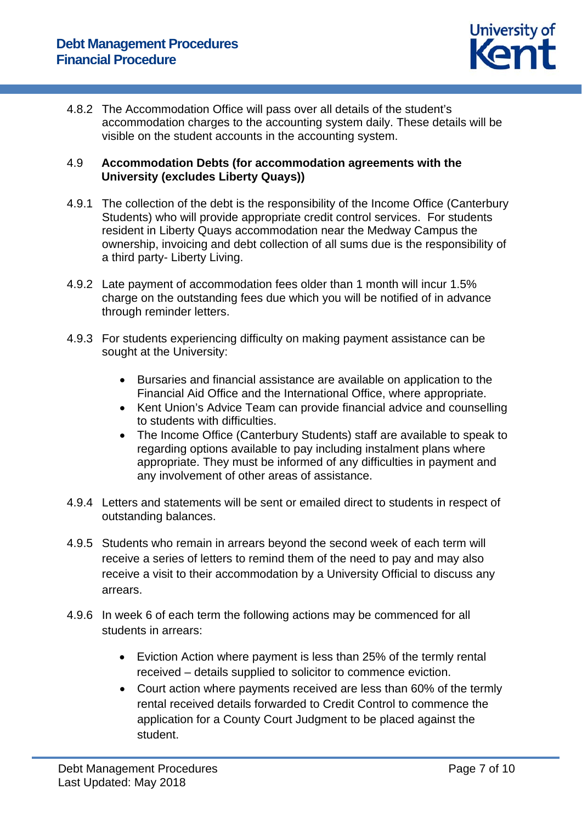

4.8.2 The Accommodation Office will pass over all details of the student's accommodation charges to the accounting system daily. These details will be visible on the student accounts in the accounting system.

# 4.9 **Accommodation Debts (for accommodation agreements with the University (excludes Liberty Quays))**

- 4.9.1 The collection of the debt is the responsibility of the Income Office (Canterbury Students) who will provide appropriate credit control services. For students resident in Liberty Quays accommodation near the Medway Campus the ownership, invoicing and debt collection of all sums due is the responsibility of a third party- Liberty Living.
- 4.9.2 Late payment of accommodation fees older than 1 month will incur 1.5% charge on the outstanding fees due which you will be notified of in advance through reminder letters.
- 4.9.3 For students experiencing difficulty on making payment assistance can be sought at the University:
	- Bursaries and financial assistance are available on application to the Financial Aid Office and the International Office, where appropriate.
	- Kent Union's Advice Team can provide financial advice and counselling to students with difficulties.
	- The Income Office (Canterbury Students) staff are available to speak to regarding options available to pay including instalment plans where appropriate. They must be informed of any difficulties in payment and any involvement of other areas of assistance.
- 4.9.4 Letters and statements will be sent or emailed direct to students in respect of outstanding balances.
- 4.9.5 Students who remain in arrears beyond the second week of each term will receive a series of letters to remind them of the need to pay and may also receive a visit to their accommodation by a University Official to discuss any arrears.
- 4.9.6 In week 6 of each term the following actions may be commenced for all students in arrears:
	- Eviction Action where payment is less than 25% of the termly rental received – details supplied to solicitor to commence eviction.
	- Court action where payments received are less than 60% of the termly rental received details forwarded to Credit Control to commence the application for a County Court Judgment to be placed against the student.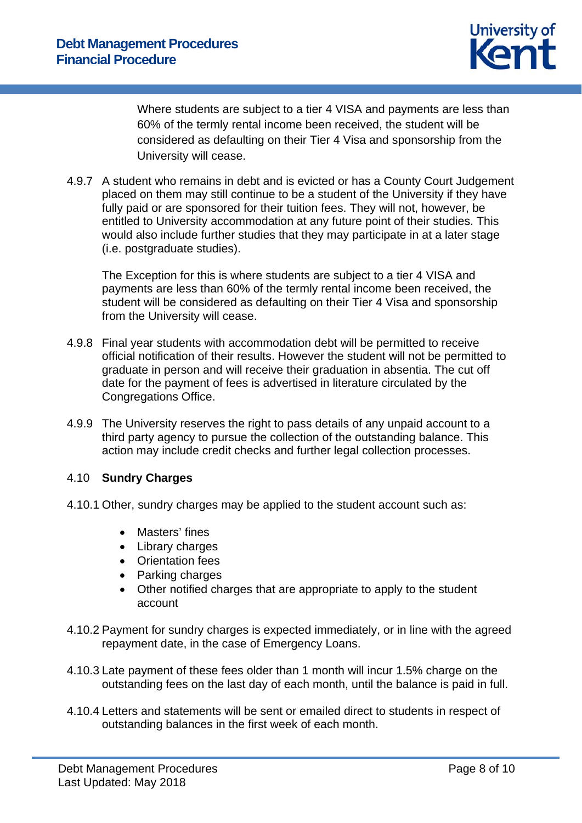

Where students are subject to a tier 4 VISA and payments are less than 60% of the termly rental income been received, the student will be considered as defaulting on their Tier 4 Visa and sponsorship from the University will cease.

4.9.7 A student who remains in debt and is evicted or has a County Court Judgement placed on them may still continue to be a student of the University if they have fully paid or are sponsored for their tuition fees. They will not, however, be entitled to University accommodation at any future point of their studies. This would also include further studies that they may participate in at a later stage (i.e. postgraduate studies).

The Exception for this is where students are subject to a tier 4 VISA and payments are less than 60% of the termly rental income been received, the student will be considered as defaulting on their Tier 4 Visa and sponsorship from the University will cease.

- 4.9.8 Final year students with accommodation debt will be permitted to receive official notification of their results. However the student will not be permitted to graduate in person and will receive their graduation in absentia. The cut off date for the payment of fees is advertised in literature circulated by the Congregations Office.
- 4.9.9 The University reserves the right to pass details of any unpaid account to a third party agency to pursue the collection of the outstanding balance. This action may include credit checks and further legal collection processes.

# 4.10 **Sundry Charges**

- 4.10.1 Other, sundry charges may be applied to the student account such as:
	- Masters' fines
	- Library charges
	- Orientation fees
	- Parking charges
	- Other notified charges that are appropriate to apply to the student account
- 4.10.2 Payment for sundry charges is expected immediately, or in line with the agreed repayment date, in the case of Emergency Loans.
- 4.10.3 Late payment of these fees older than 1 month will incur 1.5% charge on the outstanding fees on the last day of each month, until the balance is paid in full.
- 4.10.4 Letters and statements will be sent or emailed direct to students in respect of outstanding balances in the first week of each month.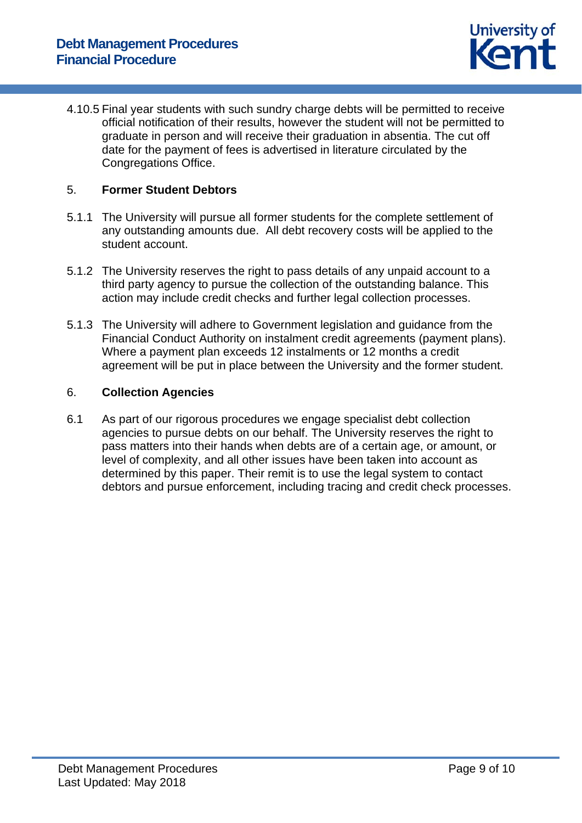

4.10.5 Final year students with such sundry charge debts will be permitted to receive official notification of their results, however the student will not be permitted to graduate in person and will receive their graduation in absentia. The cut off date for the payment of fees is advertised in literature circulated by the Congregations Office.

## 5. **Former Student Debtors**

- 5.1.1 The University will pursue all former students for the complete settlement of any outstanding amounts due. All debt recovery costs will be applied to the student account.
- 5.1.2 The University reserves the right to pass details of any unpaid account to a third party agency to pursue the collection of the outstanding balance. This action may include credit checks and further legal collection processes.
- 5.1.3 The University will adhere to Government legislation and guidance from the Financial Conduct Authority on instalment credit agreements (payment plans). Where a payment plan exceeds 12 instalments or 12 months a credit agreement will be put in place between the University and the former student.

## 6. **Collection Agencies**

6.1 As part of our rigorous procedures we engage specialist debt collection agencies to pursue debts on our behalf. The University reserves the right to pass matters into their hands when debts are of a certain age, or amount, or level of complexity, and all other issues have been taken into account as determined by this paper. Their remit is to use the legal system to contact debtors and pursue enforcement, including tracing and credit check processes.